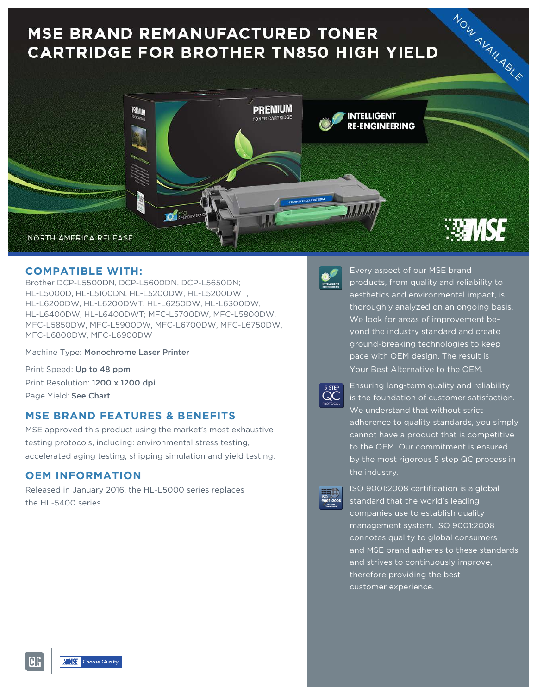# **MSE BRAND REMANUFACTURED TONER CARTRIDGE FOR BROTHER TN850 HIGH YIELD**



## **COMPATIBLE WITH:**

Brother DCP-L5500DN, DCP-L5600DN, DCP-L5650DN; HL-L5000D, HL-L5100DN, HL-L5200DW, HL-L5200DWT, HL-L6200DW, HL-L6200DWT, HL-L6250DW, HL-L6300DW, HL-L6400DW, HL-L6400DWT; MFC-L5700DW, MFC-L5800DW, MFC-L5850DW, MFC-L5900DW, MFC-L6700DW, MFC-L6750DW, MFC-L6800DW, MFC-L6900DW

Machine Type: Monochrome Laser Printer

Print Speed: Up to 48 ppm Print Resolution: 1200 x 1200 dpi Page Yield: See Chart

# **MSE BRAND FEATURES & BENEFITS**

MSE approved this product using the market's most exhaustive testing protocols, including: environmental stress testing, accelerated aging testing, shipping simulation and yield testing.

### **OEM INFORMATION**

Released in January 2016, the HL-L5000 series replaces the HL-5400 series.



Every aspect of our MSE brand products, from quality and reliability to aesthetics and environmental impact, is thoroughly analyzed on an ongoing basis. We look for areas of improvement beyond the industry standard and create ground-breaking technologies to keep pace with OEM design. The result is Your Best Alternative to the OEM.



Ensuring long-term quality and reliability is the foundation of customer satisfaction. We understand that without strict adherence to quality standards, you simply cannot have a product that is competitive to the OEM. Our commitment is ensured by the most rigorous 5 step QC process in the industry.

| <b>ISO</b> |                  |
|------------|------------------|
|            |                  |
|            | 9001:200         |
|            | <b>QUALITY</b>   |
|            | 100403-070459-07 |

ISO 9001:2008 certification is a global standard that the world's leading companies use to establish quality management system. ISO 9001:2008 connotes quality to global consumers and MSE brand adheres to these standards and strives to continuously improve, therefore providing the best customer experience.